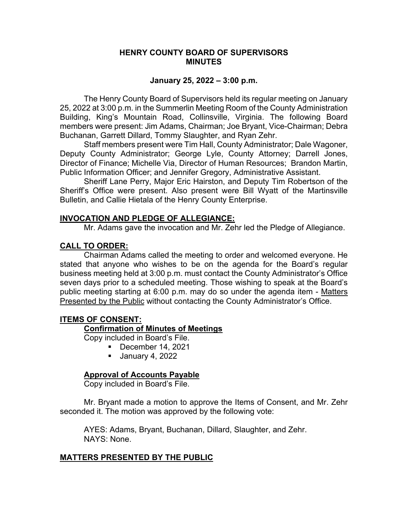#### **HENRY COUNTY BOARD OF SUPERVISORS MINUTES**

#### **January 25, 2022 – 3:00 p.m.**

The Henry County Board of Supervisors held its regular meeting on January 25, 2022 at 3:00 p.m. in the Summerlin Meeting Room of the County Administration Building, King's Mountain Road, Collinsville, Virginia. The following Board members were present: Jim Adams, Chairman; Joe Bryant, Vice-Chairman; Debra Buchanan, Garrett Dillard, Tommy Slaughter, and Ryan Zehr.

Staff members present were Tim Hall, County Administrator; Dale Wagoner, Deputy County Administrator; George Lyle, County Attorney; Darrell Jones, Director of Finance; Michelle Via, Director of Human Resources; Brandon Martin, Public Information Officer; and Jennifer Gregory, Administrative Assistant.

 Sheriff Lane Perry, Major Eric Hairston, and Deputy Tim Robertson of the Sheriff's Office were present. Also present were Bill Wyatt of the Martinsville Bulletin, and Callie Hietala of the Henry County Enterprise.

#### **INVOCATION AND PLEDGE OF ALLEGIANCE:**

Mr. Adams gave the invocation and Mr. Zehr led the Pledge of Allegiance.

# **CALL TO ORDER:**

Chairman Adams called the meeting to order and welcomed everyone. He stated that anyone who wishes to be on the agenda for the Board's regular business meeting held at 3:00 p.m. must contact the County Administrator's Office seven days prior to a scheduled meeting. Those wishing to speak at the Board's public meeting starting at 6:00 p.m. may do so under the agenda item - Matters Presented by the Public without contacting the County Administrator's Office.

# **ITEMS OF CONSENT:**

# **Confirmation of Minutes of Meetings**

Copy included in Board's File.

- $\blacksquare$  December 14, 2021
	- **January 4, 2022**

# **Approval of Accounts Payable**

Copy included in Board's File.

Mr. Bryant made a motion to approve the Items of Consent, and Mr. Zehr seconded it. The motion was approved by the following vote:

AYES: Adams, Bryant, Buchanan, Dillard, Slaughter, and Zehr. NAYS: None.

# **MATTERS PRESENTED BY THE PUBLIC**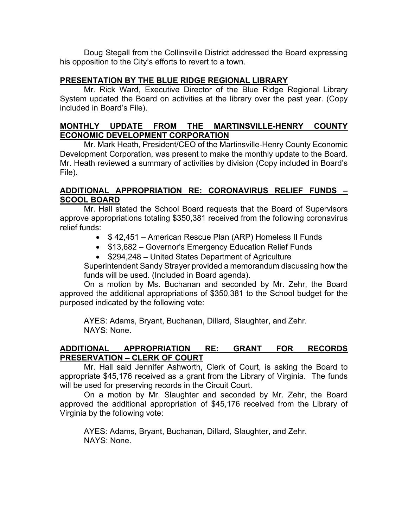Doug Stegall from the Collinsville District addressed the Board expressing his opposition to the City's efforts to revert to a town.

# **PRESENTATION BY THE BLUE RIDGE REGIONAL LIBRARY**

Mr. Rick Ward, Executive Director of the Blue Ridge Regional Library System updated the Board on activities at the library over the past year. (Copy included in Board's File).

# **MONTHLY UPDATE FROM THE MARTINSVILLE-HENRY COUNTY ECONOMIC DEVELOPMENT CORPORATION**

Mr. Mark Heath, President/CEO of the Martinsville-Henry County Economic Development Corporation, was present to make the monthly update to the Board. Mr. Heath reviewed a summary of activities by division (Copy included in Board's File).

# **ADDITIONAL APPROPRIATION RE: CORONAVIRUS RELIEF FUNDS – SCOOL BOARD**

Mr. Hall stated the School Board requests that the Board of Supervisors approve appropriations totaling \$350,381 received from the following coronavirus relief funds:

- \$42,451 American Rescue Plan (ARP) Homeless II Funds
- \$13,682 Governor's Emergency Education Relief Funds
- \$294,248 United States Department of Agriculture

Superintendent Sandy Strayer provided a memorandum discussing how the funds will be used. (Included in Board agenda).

On a motion by Ms. Buchanan and seconded by Mr. Zehr, the Board approved the additional appropriations of \$350,381 to the School budget for the purposed indicated by the following vote:

AYES: Adams, Bryant, Buchanan, Dillard, Slaughter, and Zehr. NAYS: None.

# **ADDITIONAL APPROPRIATION RE: GRANT FOR RECORDS PRESERVATION – CLERK OF COURT**

Mr. Hall said Jennifer Ashworth, Clerk of Court, is asking the Board to appropriate \$45,176 received as a grant from the Library of Virginia. The funds will be used for preserving records in the Circuit Court.

On a motion by Mr. Slaughter and seconded by Mr. Zehr, the Board approved the additional appropriation of \$45,176 received from the Library of Virginia by the following vote:

AYES: Adams, Bryant, Buchanan, Dillard, Slaughter, and Zehr. NAYS: None.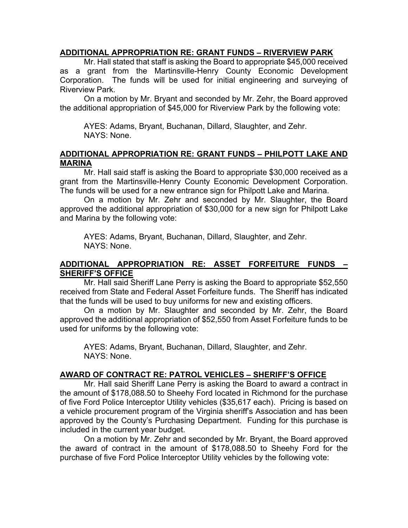#### **ADDITIONAL APPROPRIATION RE: GRANT FUNDS – RIVERVIEW PARK**

Mr. Hall stated that staff is asking the Board to appropriate \$45,000 received as a grant from the Martinsville-Henry County Economic Development Corporation. The funds will be used for initial engineering and surveying of Riverview Park.

On a motion by Mr. Bryant and seconded by Mr. Zehr, the Board approved the additional appropriation of \$45,000 for Riverview Park by the following vote:

AYES: Adams, Bryant, Buchanan, Dillard, Slaughter, and Zehr. NAYS: None.

#### **ADDITIONAL APPROPRIATION RE: GRANT FUNDS – PHILPOTT LAKE AND MARINA**

Mr. Hall said staff is asking the Board to appropriate \$30,000 received as a grant from the Martinsville-Henry County Economic Development Corporation. The funds will be used for a new entrance sign for Philpott Lake and Marina.

On a motion by Mr. Zehr and seconded by Mr. Slaughter, the Board approved the additional appropriation of \$30,000 for a new sign for Philpott Lake and Marina by the following vote:

AYES: Adams, Bryant, Buchanan, Dillard, Slaughter, and Zehr. NAYS: None.

# **ADDITIONAL APPROPRIATION RE: ASSET FORFEITURE FUNDS – SHERIFF'S OFFICE**

Mr. Hall said Sheriff Lane Perry is asking the Board to appropriate \$52,550 received from State and Federal Asset Forfeiture funds. The Sheriff has indicated that the funds will be used to buy uniforms for new and existing officers.

On a motion by Mr. Slaughter and seconded by Mr. Zehr, the Board approved the additional appropriation of \$52,550 from Asset Forfeiture funds to be used for uniforms by the following vote:

AYES: Adams, Bryant, Buchanan, Dillard, Slaughter, and Zehr. NAYS: None.

# **AWARD OF CONTRACT RE: PATROL VEHICLES – SHERIFF'S OFFICE**

Mr. Hall said Sheriff Lane Perry is asking the Board to award a contract in the amount of \$178,088.50 to Sheehy Ford located in Richmond for the purchase of five Ford Police Interceptor Utility vehicles (\$35,617 each). Pricing is based on a vehicle procurement program of the Virginia sheriff's Association and has been approved by the County's Purchasing Department. Funding for this purchase is included in the current year budget.

On a motion by Mr. Zehr and seconded by Mr. Bryant, the Board approved the award of contract in the amount of \$178,088.50 to Sheehy Ford for the purchase of five Ford Police Interceptor Utility vehicles by the following vote: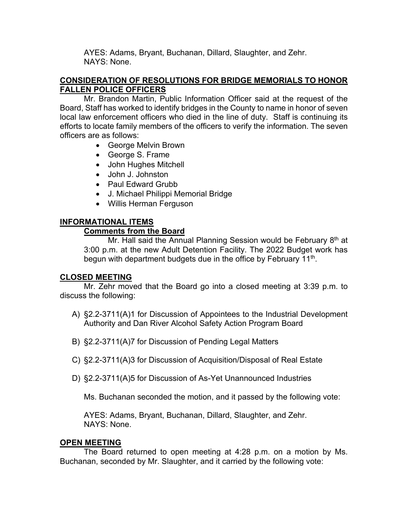AYES: Adams, Bryant, Buchanan, Dillard, Slaughter, and Zehr. NAYS: None.

# **CONSIDERATION OF RESOLUTIONS FOR BRIDGE MEMORIALS TO HONOR FALLEN POLICE OFFICERS**

Mr. Brandon Martin, Public Information Officer said at the request of the Board, Staff has worked to identify bridges in the County to name in honor of seven local law enforcement officers who died in the line of duty. Staff is continuing its efforts to locate family members of the officers to verify the information. The seven officers are as follows:

- George Melvin Brown
- George S. Frame
- John Hughes Mitchell
- John J. Johnston
- Paul Edward Grubb
- J. Michael Philippi Memorial Bridge
- Willis Herman Ferguson

# **INFORMATIONAL ITEMS**

# **Comments from the Board**

Mr. Hall said the Annual Planning Session would be February  $8<sup>th</sup>$  at 3:00 p.m. at the new Adult Detention Facility. The 2022 Budget work has begun with department budgets due in the office by February 11<sup>th</sup>.

# **CLOSED MEETING**

 Mr. Zehr moved that the Board go into a closed meeting at 3:39 p.m. to discuss the following:

- A) §2.2-3711(A)1 for Discussion of Appointees to the Industrial Development Authority and Dan River Alcohol Safety Action Program Board
- B) §2.2-3711(A)7 for Discussion of Pending Legal Matters
- C) §2.2-3711(A)3 for Discussion of Acquisition/Disposal of Real Estate
- D) §2.2-3711(A)5 for Discussion of As-Yet Unannounced Industries

Ms. Buchanan seconded the motion, and it passed by the following vote:

AYES: Adams, Bryant, Buchanan, Dillard, Slaughter, and Zehr. NAYS: None.

# **OPEN MEETING**

The Board returned to open meeting at 4:28 p.m. on a motion by Ms. Buchanan, seconded by Mr. Slaughter, and it carried by the following vote: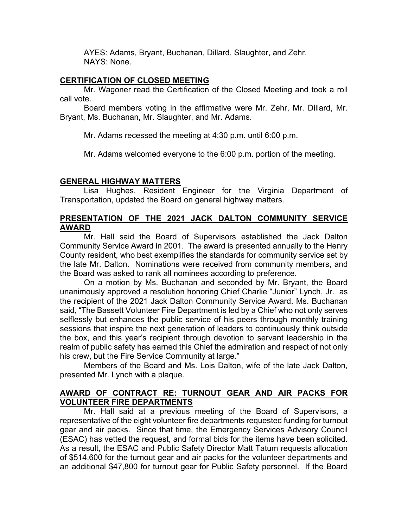AYES: Adams, Bryant, Buchanan, Dillard, Slaughter, and Zehr. NAYS: None.

#### **CERTIFICATION OF CLOSED MEETING**

Mr. Wagoner read the Certification of the Closed Meeting and took a roll call vote.

Board members voting in the affirmative were Mr. Zehr, Mr. Dillard, Mr. Bryant, Ms. Buchanan, Mr. Slaughter, and Mr. Adams.

Mr. Adams recessed the meeting at 4:30 p.m. until 6:00 p.m.

Mr. Adams welcomed everyone to the 6:00 p.m. portion of the meeting.

# **GENERAL HIGHWAY MATTERS**

Lisa Hughes, Resident Engineer for the Virginia Department of Transportation, updated the Board on general highway matters.

# **PRESENTATION OF THE 2021 JACK DALTON COMMUNITY SERVICE AWARD**

Mr. Hall said the Board of Supervisors established the Jack Dalton Community Service Award in 2001. The award is presented annually to the Henry County resident, who best exemplifies the standards for community service set by the late Mr. Dalton. Nominations were received from community members, and the Board was asked to rank all nominees according to preference.

On a motion by Ms. Buchanan and seconded by Mr. Bryant, the Board unanimously approved a resolution honoring Chief Charlie "Junior" Lynch, Jr. as the recipient of the 2021 Jack Dalton Community Service Award. Ms. Buchanan said, "The Bassett Volunteer Fire Department is led by a Chief who not only serves selflessly but enhances the public service of his peers through monthly training sessions that inspire the next generation of leaders to continuously think outside the box, and this year's recipient through devotion to servant leadership in the realm of public safety has earned this Chief the admiration and respect of not only his crew, but the Fire Service Community at large."

Members of the Board and Ms. Lois Dalton, wife of the late Jack Dalton, presented Mr. Lynch with a plaque.

# **AWARD OF CONTRACT RE: TURNOUT GEAR AND AIR PACKS FOR VOLUNTEER FIRE DEPARTMENTS**

Mr. Hall said at a previous meeting of the Board of Supervisors, a representative of the eight volunteer fire departments requested funding for turnout gear and air packs. Since that time, the Emergency Services Advisory Council (ESAC) has vetted the request, and formal bids for the items have been solicited. As a result, the ESAC and Public Safety Director Matt Tatum requests allocation of \$514,600 for the turnout gear and air packs for the volunteer departments and an additional \$47,800 for turnout gear for Public Safety personnel. If the Board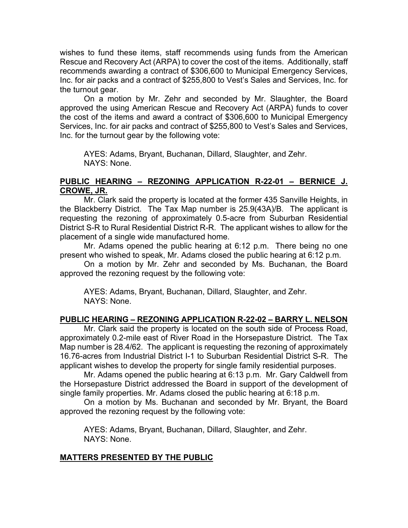wishes to fund these items, staff recommends using funds from the American Rescue and Recovery Act (ARPA) to cover the cost of the items. Additionally, staff recommends awarding a contract of \$306,600 to Municipal Emergency Services, Inc. for air packs and a contract of \$255,800 to Vest's Sales and Services, Inc. for the turnout gear.

On a motion by Mr. Zehr and seconded by Mr. Slaughter, the Board approved the using American Rescue and Recovery Act (ARPA) funds to cover the cost of the items and award a contract of \$306,600 to Municipal Emergency Services, Inc. for air packs and contract of \$255,800 to Vest's Sales and Services, Inc. for the turnout gear by the following vote:

AYES: Adams, Bryant, Buchanan, Dillard, Slaughter, and Zehr. NAYS: None.

#### **PUBLIC HEARING – REZONING APPLICATION R-22-01 – BERNICE J. CROWE, JR.**

 Mr. Clark said the property is located at the former 435 Sanville Heights, in the Blackberry District. The Tax Map number is 25.9(43A)/B. The applicant is requesting the rezoning of approximately 0.5-acre from Suburban Residential District S-R to Rural Residential District R-R. The applicant wishes to allow for the placement of a single wide manufactured home.

Mr. Adams opened the public hearing at 6:12 p.m. There being no one present who wished to speak, Mr. Adams closed the public hearing at 6:12 p.m.

On a motion by Mr. Zehr and seconded by Ms. Buchanan, the Board approved the rezoning request by the following vote:

AYES: Adams, Bryant, Buchanan, Dillard, Slaughter, and Zehr. NAYS: None.

# **PUBLIC HEARING – REZONING APPLICATION R-22-02 – BARRY L. NELSON**

 Mr. Clark said the property is located on the south side of Process Road, approximately 0.2-mile east of River Road in the Horsepasture District. The Tax Map number is 28.4/62. The applicant is requesting the rezoning of approximately 16.76-acres from Industrial District I-1 to Suburban Residential District S-R. The applicant wishes to develop the property for single family residential purposes.

Mr. Adams opened the public hearing at 6:13 p.m. Mr. Gary Caldwell from the Horsepasture District addressed the Board in support of the development of single family properties. Mr. Adams closed the public hearing at 6:18 p.m.

On a motion by Ms. Buchanan and seconded by Mr. Bryant, the Board approved the rezoning request by the following vote:

AYES: Adams, Bryant, Buchanan, Dillard, Slaughter, and Zehr. NAYS: None.

#### **MATTERS PRESENTED BY THE PUBLIC**